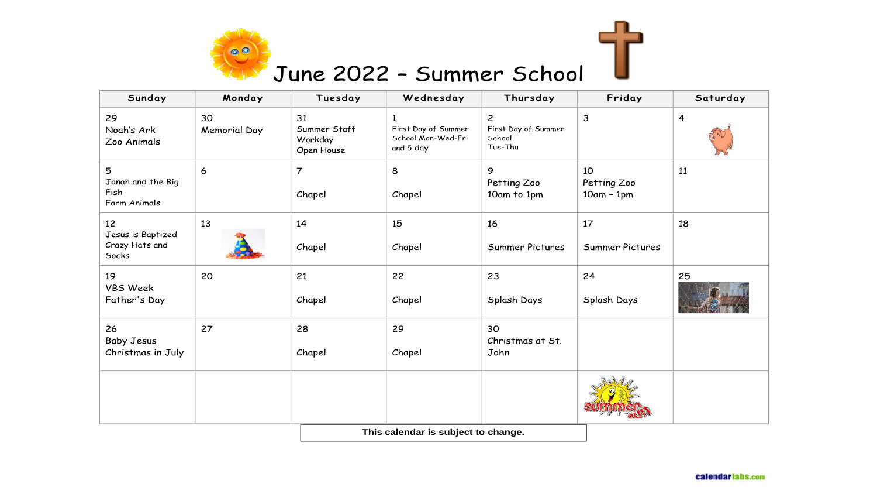

## June 2022 – Summer School

| Sunday                                             | Monday                    | Tuesday                                     | Wednesday                                              | Thursday                                                   | Friday                            | Saturday       |
|----------------------------------------------------|---------------------------|---------------------------------------------|--------------------------------------------------------|------------------------------------------------------------|-----------------------------------|----------------|
| 29<br>Noah's Ark<br>Zoo Animals                    | 30<br><b>Memorial Day</b> | 31<br>Summer Staff<br>Workday<br>Open House | First Day of Summer<br>School Mon-Wed-Fri<br>and 5 day | $\overline{c}$<br>First Day of Summer<br>School<br>Tue-Thu | $\mathsf{3}$                      | $\overline{4}$ |
| 5<br>Jonah and the Big<br>Fish<br>Farm Animals     | 6                         | $\overline{7}$<br>Chapel                    | 8<br>Chapel                                            | 9<br>Petting Zoo<br>10am to 1pm                            | 10<br>Petting Zoo<br>$10am - 1pm$ | 11             |
| 12<br>Jesus is Baptized<br>Crazy Hats and<br>Socks | 13                        | 14<br>Chapel                                | 15<br>Chapel                                           | 16<br>Summer Pictures                                      | 17<br><b>Summer Pictures</b>      | 18             |
| 19<br><b>VBS Week</b><br>Father's Day              | 20                        | 21<br>Chapel                                | 22<br>Chapel                                           | 23<br>Splash Days                                          | 24<br>Splash Days                 | 25             |
| 26<br><b>Baby Jesus</b><br>Christmas in July       | 27                        | 28<br>Chapel                                | 29<br>Chapel                                           | 30<br>Christmas at St.<br>John                             |                                   |                |
|                                                    |                           |                                             |                                                        |                                                            |                                   |                |
|                                                    |                           |                                             |                                                        |                                                            |                                   |                |